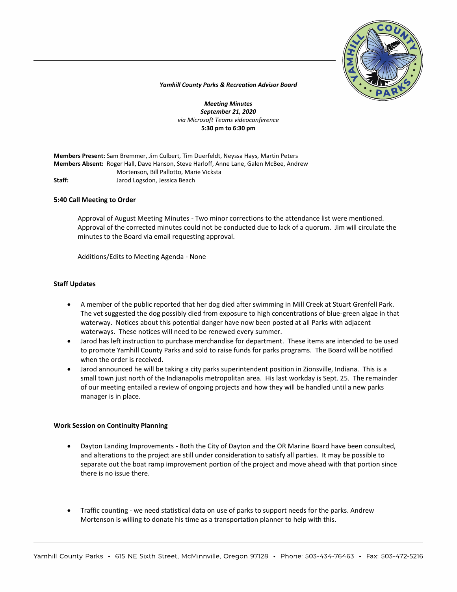

*Yamhill County Parks & Recreation Advisor Board*

*Meeting Minutes September 21, 2020 via Microsoft Teams videoconference* **5:30 pm to 6:30 pm**

**Members Present:** Sam Bremmer, Jim Culbert, Tim Duerfeldt, Neyssa Hays, Martin Peters **Members Absent:** Roger Hall, Dave Hanson, Steve Harloff, Anne Lane, Galen McBee, Andrew Mortenson, Bill Pallotto, Marie Vicksta **Staff:** Jarod Logsdon, Jessica Beach

## **5:40 Call Meeting to Order**

Approval of August Meeting Minutes - Two minor corrections to the attendance list were mentioned. Approval of the corrected minutes could not be conducted due to lack of a quorum. Jim will circulate the minutes to the Board via email requesting approval.

Additions/Edits to Meeting Agenda - None

## **Staff Updates**

- A member of the public reported that her dog died after swimming in Mill Creek at Stuart Grenfell Park. The vet suggested the dog possibly died from exposure to high concentrations of blue-green algae in that waterway. Notices about this potential danger have now been posted at all Parks with adjacent waterways. These notices will need to be renewed every summer.
- Jarod has left instruction to purchase merchandise for department. These items are intended to be used to promote Yamhill County Parks and sold to raise funds for parks programs. The Board will be notified when the order is received.
- Jarod announced he will be taking a city parks superintendent position in Zionsville, Indiana. This is a small town just north of the Indianapolis metropolitan area. His last workday is Sept. 25. The remainder of our meeting entailed a review of ongoing projects and how they will be handled until a new parks manager is in place.

#### **Work Session on Continuity Planning**

- Dayton Landing Improvements Both the City of Dayton and the OR Marine Board have been consulted, and alterations to the project are still under consideration to satisfy all parties. It may be possible to separate out the boat ramp improvement portion of the project and move ahead with that portion since there is no issue there.
- Traffic counting we need statistical data on use of parks to support needs for the parks. Andrew Mortenson is willing to donate his time as a transportation planner to help with this.